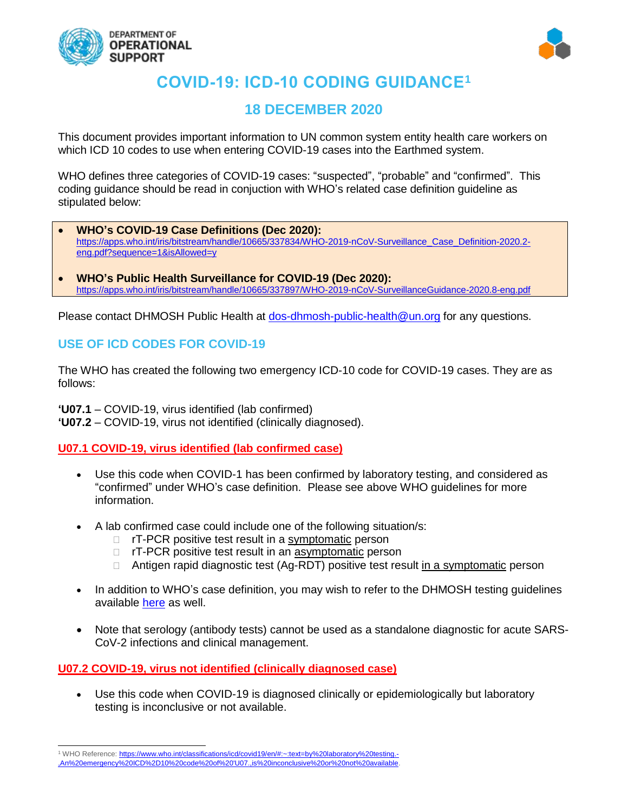



# **COVID-19: ICD-10 CODING GUIDANCE<sup>1</sup>**

# **18 DECEMBER 2020**

This document provides important information to UN common system entity health care workers on which ICD 10 codes to use when entering COVID-19 cases into the Earthmed system.

WHO defines three categories of COVID-19 cases: "suspected", "probable" and "confirmed". This coding guidance should be read in conjuction with WHO's related case definition guideline as stipulated below:

- **WHO's COVID-19 Case Definitions (Dec 2020):**  [https://apps.who.int/iris/bitstream/handle/10665/337834/WHO-2019-nCoV-Surveillance\\_Case\\_Definition-2020.2](https://apps.who.int/iris/bitstream/handle/10665/337834/WHO-2019-nCoV-Surveillance_Case_Definition-2020.2-eng.pdf?sequence=1&isAllowed=y) [eng.pdf?sequence=1&isAllowed=y](https://apps.who.int/iris/bitstream/handle/10665/337834/WHO-2019-nCoV-Surveillance_Case_Definition-2020.2-eng.pdf?sequence=1&isAllowed=y)
- **WHO's Public Health Surveillance for COVID-19 (Dec 2020):** https://apps.who.int/iris/bitstream/handle/10665/337897/WHO-2019-nCoV-SurveillanceGuidance-2020.8-eng.pdf

Please contact DHMOSH Public Health at [dos-dhmosh-public-health@un.org](mailto:dos-dhmosh-public-health@un.org) for any questions.

# **USE OF ICD CODES FOR COVID-19**

The WHO has created the following two emergency ICD-10 code for COVID-19 cases. They are as follows:

**'U07.1** – COVID-19, virus identified (lab confirmed) **'U07.2** – COVID-19, virus not identified (clinically diagnosed).

**U07.1 COVID-19, virus identified (lab confirmed case)**

- Use this code when COVID-1 has been confirmed by laboratory testing, and considered as "confirmed" under WHO's case definition. Please see above WHO guidelines for more information.
- A lab confirmed case could include one of the following situation/s:
	- □ rT-PCR positive test result in a symptomatic person
	- □ rT-PCR positive test result in an asymptomatic person
	- □ Antigen rapid diagnostic test (Ag-RDT) positive test result in a symptomatic person
- In addition to WHO's case definition, you may wish to refer to the DHMOSH testing quidelines available [here](https://www.un.org/sites/un2.un.org/files/coronavirus_testingrecsforunpersonnelandcontingents.pdf) as well.
- Note that serology (antibody tests) cannot be used as a standalone diagnostic for acute SARS-CoV-2 infections and clinical management.

#### **U07.2 COVID-19, virus not identified (clinically diagnosed case)**

• Use this code when COVID-19 is diagnosed clinically or epidemiologically but laboratory testing is inconclusive or not available.

l 1 WHO Reference[: https://www.who.int/classifications/icd/covid19/en/#:~:text=by%20laboratory%20testing.-](https://www.who.int/classifications/icd/covid19/en/#:~:text=by%20laboratory%20testing.-,An%20emergency%20ICD%2D10%20code%20of%20) [,An%20emergency%20ICD%2D10%20code%20of%20'U07.,is%20inconclusive%20or%20not%20available.](https://www.who.int/classifications/icd/covid19/en/#:~:text=by%20laboratory%20testing.-,An%20emergency%20ICD%2D10%20code%20of%20)